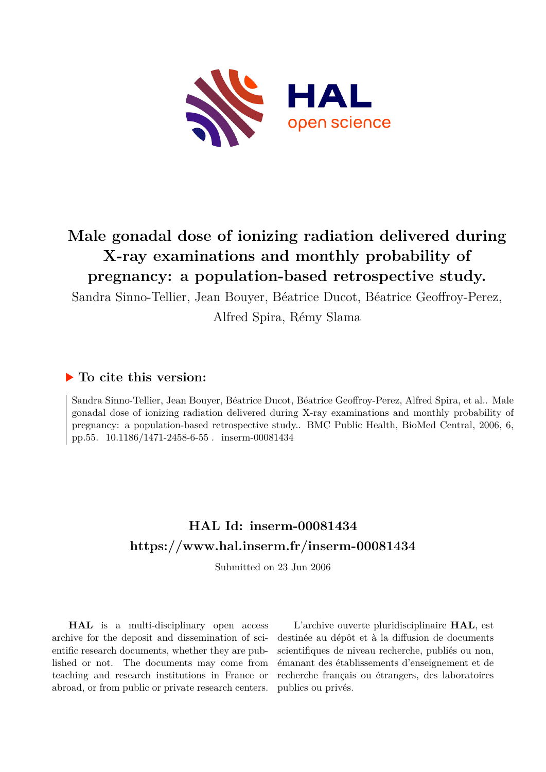

# **Male gonadal dose of ionizing radiation delivered during X-ray examinations and monthly probability of pregnancy: a population-based retrospective study.**

Sandra Sinno-Tellier, Jean Bouyer, Béatrice Ducot, Béatrice Geoffroy-Perez,

Alfred Spira, Rémy Slama

# **To cite this version:**

Sandra Sinno-Tellier, Jean Bouyer, Béatrice Ducot, Béatrice Geoffroy-Perez, Alfred Spira, et al.. Male gonadal dose of ionizing radiation delivered during X-ray examinations and monthly probability of pregnancy: a population-based retrospective study.. BMC Public Health, BioMed Central, 2006, 6, pp.55.  $10.1186/1471-2458-6-55$ . inserm-00081434

# **HAL Id: inserm-00081434 <https://www.hal.inserm.fr/inserm-00081434>**

Submitted on 23 Jun 2006

**HAL** is a multi-disciplinary open access archive for the deposit and dissemination of scientific research documents, whether they are published or not. The documents may come from teaching and research institutions in France or abroad, or from public or private research centers.

L'archive ouverte pluridisciplinaire **HAL**, est destinée au dépôt et à la diffusion de documents scientifiques de niveau recherche, publiés ou non, émanant des établissements d'enseignement et de recherche français ou étrangers, des laboratoires publics ou privés.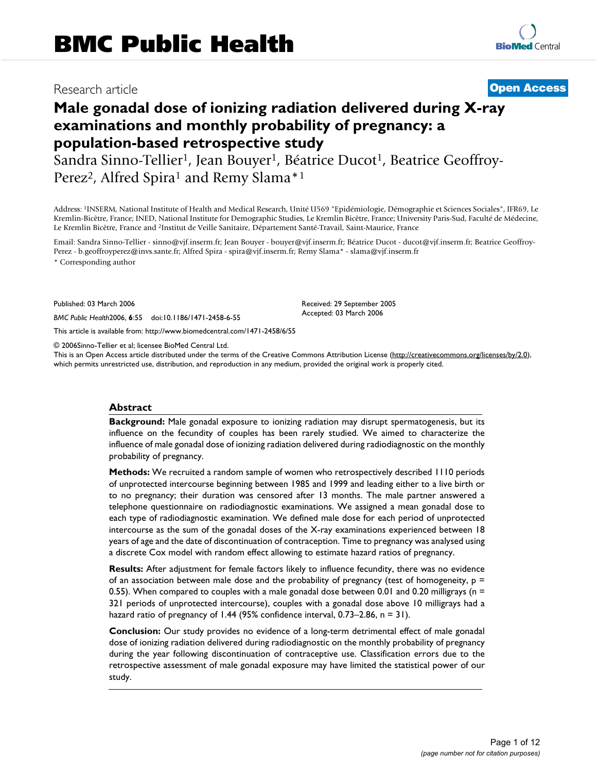# Research article **Contract Contract Contract Contract Contract Contract Contract Contract Contract Contract Contract Contract Contract Contract Contract Contract Contract Contract Contract Contract Contract Contract Contra**

# **Male gonadal dose of ionizing radiation delivered during X-ray examinations and monthly probability of pregnancy: a population-based retrospective study**

Sandra Sinno-Tellier<sup>1</sup>, Jean Bouyer<sup>1</sup>, Béatrice Ducot<sup>1</sup>, Beatrice Geoffroy-Perez<sup>2</sup>, Alfred Spira<sup>1</sup> and Remy Slama<sup>\*1</sup>

Address: <sup>1</sup>INSERM, National Institute of Health and Medical Research, Unité U569 "Epidémiologie, Démographie et Sciences Sociales", IFR69, Le Kremlin-Bicêtre, France; INED, National Institute for Demographic Studies, Le Kremlin Bicêtre, France; University Paris-Sud, Faculté de Médecine, Le Kremlin Bicêtre, France and <sup>2</sup>Institut de Veille Sanitaire, Département Santé-Travail, Saint-Maurice, France

Email: Sandra Sinno-Tellier - sinno@vjf.inserm.fr; Jean Bouyer - bouyer@vjf.inserm.fr; Béatrice Ducot - ducot@vjf.inserm.fr; Beatrice Geoffroy-Perez - b.geoffroyperez@invs.sante.fr; Alfred Spira - spira@vjf.inserm.fr; Remy Slama\* - slama@vjf.inserm.fr

> Received: 29 September 2005 Accepted: 03 March 2006

\* Corresponding author

Published: 03 March 2006

*BMC Public Health*2006, **6**:55 doi:10.1186/1471-2458-6-55

[This article is available from: http://www.biomedcentral.com/1471-2458/6/55](http://www.biomedcentral.com/1471-2458/6/55)

© 2006Sinno-Tellier et al; licensee BioMed Central Ltd.

This is an Open Access article distributed under the terms of the Creative Commons Attribution License [\(http://creativecommons.org/licenses/by/2.0\)](http://creativecommons.org/licenses/by/2.0), which permits unrestricted use, distribution, and reproduction in any medium, provided the original work is properly cited.

#### **Abstract**

**Background:** Male gonadal exposure to ionizing radiation may disrupt spermatogenesis, but its influence on the fecundity of couples has been rarely studied. We aimed to characterize the influence of male gonadal dose of ionizing radiation delivered during radiodiagnostic on the monthly probability of pregnancy.

**Methods:** We recruited a random sample of women who retrospectively described 1110 periods of unprotected intercourse beginning between 1985 and 1999 and leading either to a live birth or to no pregnancy; their duration was censored after 13 months. The male partner answered a telephone questionnaire on radiodiagnostic examinations. We assigned a mean gonadal dose to each type of radiodiagnostic examination. We defined male dose for each period of unprotected intercourse as the sum of the gonadal doses of the X-ray examinations experienced between 18 years of age and the date of discontinuation of contraception. Time to pregnancy was analysed using a discrete Cox model with random effect allowing to estimate hazard ratios of pregnancy.

**Results:** After adjustment for female factors likely to influence fecundity, there was no evidence of an association between male dose and the probability of pregnancy (test of homogeneity,  $p =$ 0.55). When compared to couples with a male gonadal dose between 0.01 and 0.20 milligrays ( $n =$ 321 periods of unprotected intercourse), couples with a gonadal dose above 10 milligrays had a hazard ratio of pregnancy of 1.44 (95% confidence interval, 0.73–2.86, n = 31).

**Conclusion:** Our study provides no evidence of a long-term detrimental effect of male gonadal dose of ionizing radiation delivered during radiodiagnostic on the monthly probability of pregnancy during the year following discontinuation of contraceptive use. Classification errors due to the retrospective assessment of male gonadal exposure may have limited the statistical power of our study.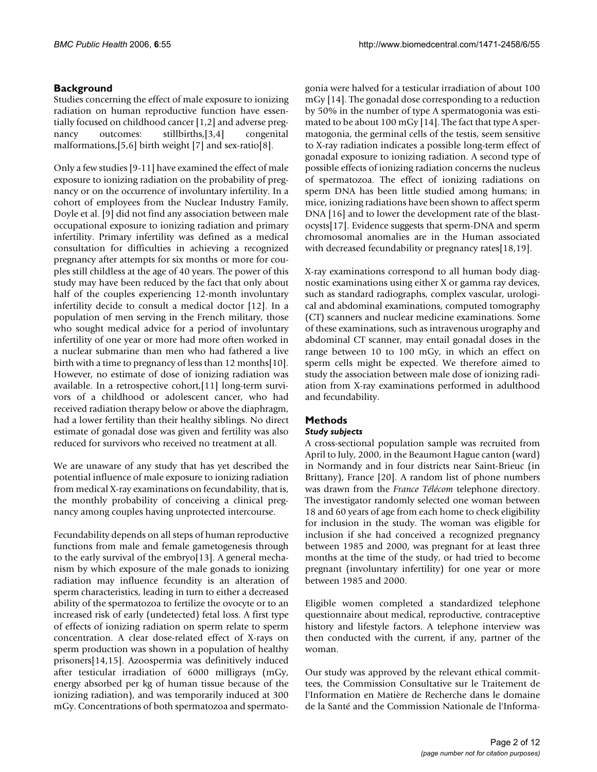# **Background**

Studies concerning the effect of male exposure to ionizing radiation on human reproductive function have essentially focused on childhood cancer [1,2] and adverse pregnancy outcomes: stillbirths, [3,4] congenital malformations,[5,6] birth weight [7] and sex-ratio[8].

Only a few studies [9-11] have examined the effect of male exposure to ionizing radiation on the probability of pregnancy or on the occurrence of involuntary infertility. In a cohort of employees from the Nuclear Industry Family, Doyle et al. [9] did not find any association between male occupational exposure to ionizing radiation and primary infertility. Primary infertility was defined as a medical consultation for difficulties in achieving a recognized pregnancy after attempts for six months or more for couples still childless at the age of 40 years. The power of this study may have been reduced by the fact that only about half of the couples experiencing 12-month involuntary infertility decide to consult a medical doctor [12]. In a population of men serving in the French military, those who sought medical advice for a period of involuntary infertility of one year or more had more often worked in a nuclear submarine than men who had fathered a live birth with a time to pregnancy of less than 12 months[10]. However, no estimate of dose of ionizing radiation was available. In a retrospective cohort,[11] long-term survivors of a childhood or adolescent cancer, who had received radiation therapy below or above the diaphragm, had a lower fertility than their healthy siblings. No direct estimate of gonadal dose was given and fertility was also reduced for survivors who received no treatment at all.

We are unaware of any study that has yet described the potential influence of male exposure to ionizing radiation from medical X-ray examinations on fecundability, that is, the monthly probability of conceiving a clinical pregnancy among couples having unprotected intercourse.

Fecundability depends on all steps of human reproductive functions from male and female gametogenesis through to the early survival of the embryo[13]. A general mechanism by which exposure of the male gonads to ionizing radiation may influence fecundity is an alteration of sperm characteristics, leading in turn to either a decreased ability of the spermatozoa to fertilize the ovocyte or to an increased risk of early (undetected) fetal loss. A first type of effects of ionizing radiation on sperm relate to sperm concentration. A clear dose-related effect of X-rays on sperm production was shown in a population of healthy prisoners[14,15]. Azoospermia was definitively induced after testicular irradiation of 6000 milligrays (mGy, energy absorbed per kg of human tissue because of the ionizing radiation), and was temporarily induced at 300 mGy. Concentrations of both spermatozoa and spermatogonia were halved for a testicular irradiation of about 100 mGy [14]. The gonadal dose corresponding to a reduction by 50% in the number of type A spermatogonia was estimated to be about 100 mGy [14]. The fact that type A spermatogonia, the germinal cells of the testis, seem sensitive to X-ray radiation indicates a possible long-term effect of gonadal exposure to ionizing radiation. A second type of possible effects of ionizing radiation concerns the nucleus of spermatozoa. The effect of ionizing radiations on sperm DNA has been little studied among humans; in mice, ionizing radiations have been shown to affect sperm DNA [16] and to lower the development rate of the blastocysts[17]. Evidence suggests that sperm-DNA and sperm chromosomal anomalies are in the Human associated with decreased fecundability or pregnancy rates[18,19].

X-ray examinations correspond to all human body diagnostic examinations using either X or gamma ray devices, such as standard radiographs, complex vascular, urological and abdominal examinations, computed tomography (CT) scanners and nuclear medicine examinations. Some of these examinations, such as intravenous urography and abdominal CT scanner, may entail gonadal doses in the range between 10 to 100 mGy, in which an effect on sperm cells might be expected. We therefore aimed to study the association between male dose of ionizing radiation from X-ray examinations performed in adulthood and fecundability.

# **Methods**

#### *Study subjects*

A cross-sectional population sample was recruited from April to July, 2000, in the Beaumont Hague canton (ward) in Normandy and in four districts near Saint-Brieuc (in Brittany), France [20]. A random list of phone numbers was drawn from the *France Télécom* telephone directory. The investigator randomly selected one woman between 18 and 60 years of age from each home to check eligibility for inclusion in the study. The woman was eligible for inclusion if she had conceived a recognized pregnancy between 1985 and 2000, was pregnant for at least three months at the time of the study, or had tried to become pregnant (involuntary infertility) for one year or more between 1985 and 2000.

Eligible women completed a standardized telephone questionnaire about medical, reproductive, contraceptive history and lifestyle factors. A telephone interview was then conducted with the current, if any, partner of the woman.

Our study was approved by the relevant ethical committees, the Commission Consultative sur le Traitement de l'Information en Matière de Recherche dans le domaine de la Santé and the Commission Nationale de l'Informa-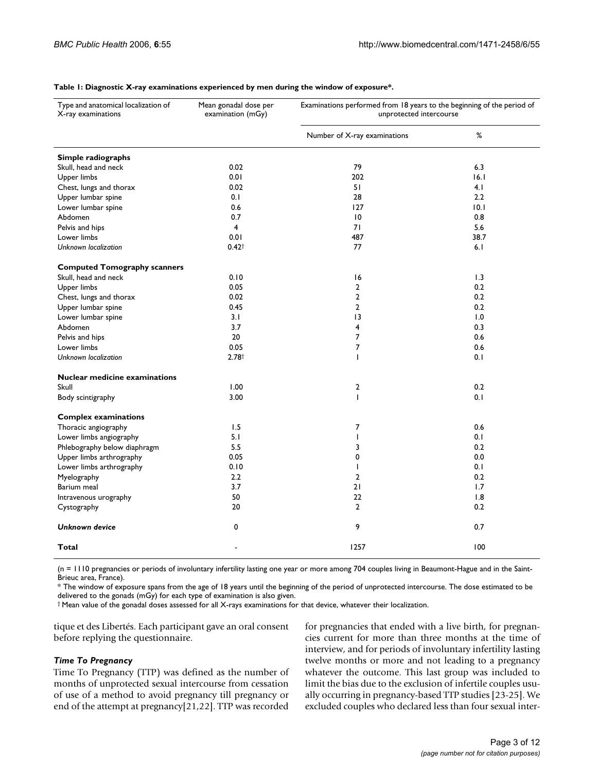| Type and anatomical localization of<br>X-ray examinations | Mean gonadal dose per<br>examination (mGy) | Examinations performed from 18 years to the beginning of the period of<br>unprotected intercourse |      |  |  |
|-----------------------------------------------------------|--------------------------------------------|---------------------------------------------------------------------------------------------------|------|--|--|
|                                                           |                                            | Number of X-ray examinations                                                                      | $\%$ |  |  |
| Simple radiographs                                        |                                            |                                                                                                   |      |  |  |
| Skull, head and neck                                      | 0.02                                       | 79                                                                                                | 6.3  |  |  |
| Upper limbs                                               | 0.01                                       | 202                                                                                               | 16.1 |  |  |
| Chest, lungs and thorax                                   | 0.02                                       | 51                                                                                                | 4.1  |  |  |
| Upper lumbar spine                                        | 0.1                                        | 28                                                                                                | 2.2  |  |  |
| Lower lumbar spine                                        | 0.6                                        | 127                                                                                               | 10.1 |  |  |
| Abdomen                                                   | 0.7                                        | $\overline{10}$                                                                                   | 0.8  |  |  |
| Pelvis and hips                                           | $\overline{4}$                             | 71                                                                                                | 5.6  |  |  |
| Lower limbs                                               | 0.01                                       | 487                                                                                               | 38.7 |  |  |
| Unknown localization                                      | 0.42 <sup>†</sup>                          | 77                                                                                                | 6.1  |  |  |
| <b>Computed Tomography scanners</b>                       |                                            |                                                                                                   |      |  |  |
| Skull, head and neck                                      | 0.10                                       | 16                                                                                                | 1.3  |  |  |
| Upper limbs                                               | 0.05                                       | $\overline{2}$                                                                                    | 0.2  |  |  |
| Chest, lungs and thorax                                   | 0.02                                       | $\overline{2}$                                                                                    | 0.2  |  |  |
| Upper lumbar spine                                        | 0.45                                       | $\overline{2}$                                                                                    | 0.2  |  |  |
| Lower lumbar spine                                        | 3.1                                        | 3                                                                                                 | 1.0  |  |  |
| Abdomen                                                   | 3.7                                        | 4                                                                                                 | 0.3  |  |  |
| Pelvis and hips                                           | 20                                         | 7                                                                                                 | 0.6  |  |  |
| Lower limbs                                               | 0.05                                       | 7                                                                                                 | 0.6  |  |  |
| Unknown localization                                      | 2.78 <sup>†</sup>                          | ı                                                                                                 | 0.1  |  |  |
| <b>Nuclear medicine examinations</b>                      |                                            |                                                                                                   |      |  |  |
| Skull                                                     | 1.00                                       | $\boldsymbol{2}$                                                                                  | 0.2  |  |  |
| Body scintigraphy                                         | 3.00                                       | T                                                                                                 | 0.1  |  |  |
| <b>Complex examinations</b>                               |                                            |                                                                                                   |      |  |  |
| Thoracic angiography                                      | 1.5                                        | 7                                                                                                 | 0.6  |  |  |
| Lower limbs angiography                                   | 5.1                                        | L                                                                                                 | 0.1  |  |  |
| Phlebography below diaphragm                              | 5.5                                        | 3                                                                                                 | 0.2  |  |  |
| Upper limbs arthrography                                  | 0.05                                       | 0                                                                                                 | 0.0  |  |  |
| Lower limbs arthrography                                  | 0.10                                       | T                                                                                                 | 0.1  |  |  |
| Myelography                                               | 2.2                                        | $\overline{2}$                                                                                    | 0.2  |  |  |
| Barium meal                                               | 3.7                                        | 21                                                                                                | 1.7  |  |  |
| Intravenous urography                                     | 50                                         | 22                                                                                                | 1.8  |  |  |
| Cystography                                               | 20                                         | $\overline{2}$                                                                                    | 0.2  |  |  |
| Unknown device                                            | 0                                          | 9                                                                                                 | 0.7  |  |  |
| <b>Total</b>                                              |                                            | 1257                                                                                              | 100  |  |  |

**Table 1: Diagnostic X-ray examinations experienced by men during the window of exposure\*.**

(n = 1110 pregnancies or periods of involuntary infertility lasting one year or more among 704 couples living in Beaumont-Hague and in the Saint-Brieuc area, France).

\* The window of exposure spans from the age of 18 years until the beginning of the period of unprotected intercourse. The dose estimated to be delivered to the gonads (mGy) for each type of examination is also given.

† Mean value of the gonadal doses assessed for all X-rays examinations for that device, whatever their localization.

tique et des Libertés. Each participant gave an oral consent before replying the questionnaire.

#### *Time To Pregnancy*

Time To Pregnancy (TTP) was defined as the number of months of unprotected sexual intercourse from cessation of use of a method to avoid pregnancy till pregnancy or end of the attempt at pregnancy[21,22]. TTP was recorded for pregnancies that ended with a live birth, for pregnancies current for more than three months at the time of interview, and for periods of involuntary infertility lasting twelve months or more and not leading to a pregnancy whatever the outcome. This last group was included to limit the bias due to the exclusion of infertile couples usually occurring in pregnancy-based TTP studies [23-25]. We excluded couples who declared less than four sexual inter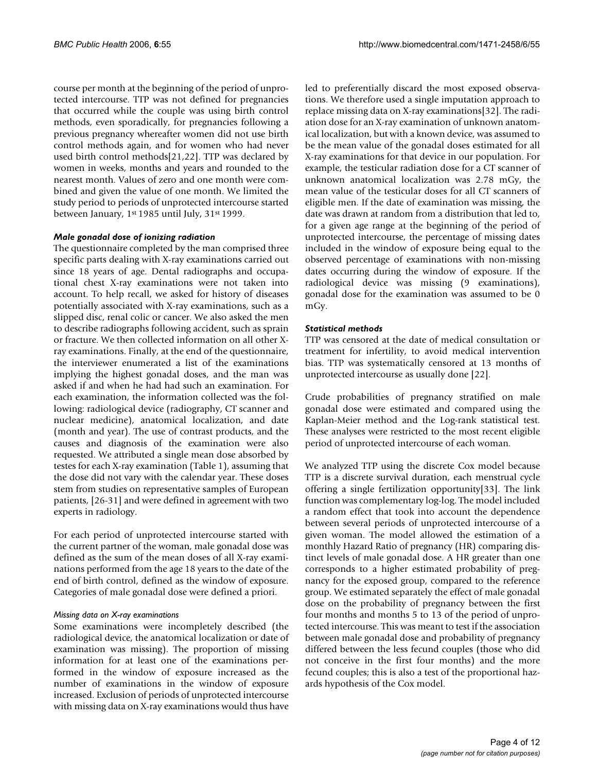course per month at the beginning of the period of unprotected intercourse. TTP was not defined for pregnancies that occurred while the couple was using birth control methods, even sporadically, for pregnancies following a previous pregnancy whereafter women did not use birth control methods again, and for women who had never used birth control methods[21,22]. TTP was declared by women in weeks, months and years and rounded to the nearest month. Values of zero and one month were combined and given the value of one month. We limited the study period to periods of unprotected intercourse started between January, 1st 1985 until July, 31st 1999.

#### *Male gonadal dose of ionizing radiation*

The questionnaire completed by the man comprised three specific parts dealing with X-ray examinations carried out since 18 years of age. Dental radiographs and occupational chest X-ray examinations were not taken into account. To help recall, we asked for history of diseases potentially associated with X-ray examinations, such as a slipped disc, renal colic or cancer. We also asked the men to describe radiographs following accident, such as sprain or fracture. We then collected information on all other Xray examinations. Finally, at the end of the questionnaire, the interviewer enumerated a list of the examinations implying the highest gonadal doses, and the man was asked if and when he had had such an examination. For each examination, the information collected was the following: radiological device (radiography, CT scanner and nuclear medicine), anatomical localization, and date (month and year). The use of contrast products, and the causes and diagnosis of the examination were also requested. We attributed a single mean dose absorbed by testes for each X-ray examination (Table 1), assuming that the dose did not vary with the calendar year. These doses stem from studies on representative samples of European patients, [26-31] and were defined in agreement with two experts in radiology.

For each period of unprotected intercourse started with the current partner of the woman, male gonadal dose was defined as the sum of the mean doses of all X-ray examinations performed from the age 18 years to the date of the end of birth control, defined as the window of exposure. Categories of male gonadal dose were defined a priori.

#### *Missing data on X-ray examinations*

Some examinations were incompletely described (the radiological device, the anatomical localization or date of examination was missing). The proportion of missing information for at least one of the examinations performed in the window of exposure increased as the number of examinations in the window of exposure increased. Exclusion of periods of unprotected intercourse with missing data on X-ray examinations would thus have led to preferentially discard the most exposed observations. We therefore used a single imputation approach to replace missing data on X-ray examinations[32]. The radiation dose for an X-ray examination of unknown anatomical localization, but with a known device, was assumed to be the mean value of the gonadal doses estimated for all X-ray examinations for that device in our population. For example, the testicular radiation dose for a CT scanner of unknown anatomical localization was 2.78 mGy, the mean value of the testicular doses for all CT scanners of eligible men. If the date of examination was missing, the date was drawn at random from a distribution that led to, for a given age range at the beginning of the period of unprotected intercourse, the percentage of missing dates included in the window of exposure being equal to the observed percentage of examinations with non-missing dates occurring during the window of exposure. If the radiological device was missing (9 examinations), gonadal dose for the examination was assumed to be 0 mGy.

#### *Statistical methods*

TTP was censored at the date of medical consultation or treatment for infertility, to avoid medical intervention bias. TTP was systematically censored at 13 months of unprotected intercourse as usually done [22].

Crude probabilities of pregnancy stratified on male gonadal dose were estimated and compared using the Kaplan-Meier method and the Log-rank statistical test. These analyses were restricted to the most recent eligible period of unprotected intercourse of each woman.

We analyzed TTP using the discrete Cox model because TTP is a discrete survival duration, each menstrual cycle offering a single fertilization opportunity[33]. The link function was complementary log-log. The model included a random effect that took into account the dependence between several periods of unprotected intercourse of a given woman. The model allowed the estimation of a monthly Hazard Ratio of pregnancy (HR) comparing distinct levels of male gonadal dose. A HR greater than one corresponds to a higher estimated probability of pregnancy for the exposed group, compared to the reference group. We estimated separately the effect of male gonadal dose on the probability of pregnancy between the first four months and months 5 to 13 of the period of unprotected intercourse. This was meant to test if the association between male gonadal dose and probability of pregnancy differed between the less fecund couples (those who did not conceive in the first four months) and the more fecund couples; this is also a test of the proportional hazards hypothesis of the Cox model.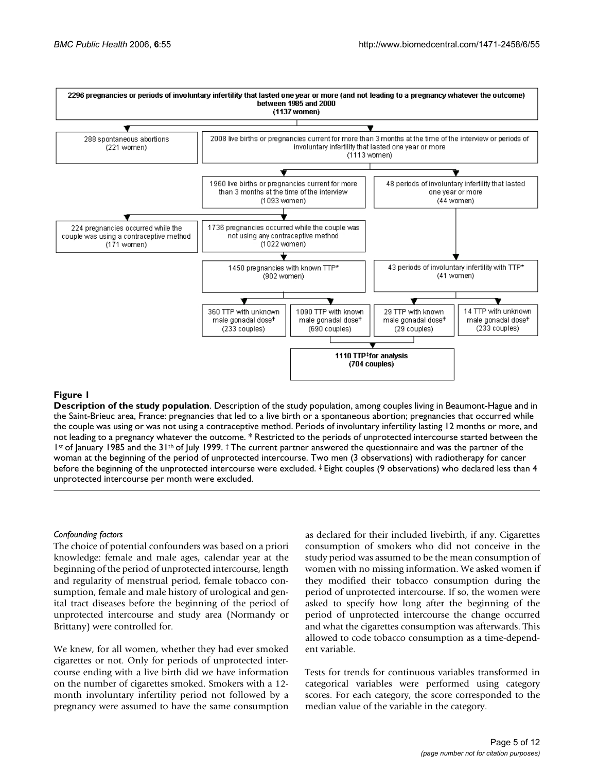

#### **Figure 1**

**Description of the study population**. Description of the study population, among couples living in Beaumont-Hague and in the Saint-Brieuc area, France: pregnancies that led to a live birth or a spontaneous abortion; pregnancies that occurred while the couple was using or was not using a contraceptive method. Periods of involuntary infertility lasting 12 months or more, and not leading to a pregnancy whatever the outcome. \* Restricted to the periods of unprotected intercourse started between the 1<sup>st</sup> of January 1985 and the 31<sup>th</sup> of July 1999. <sup>†</sup> The current partner answered the questionnaire and was the partner of the woman at the beginning of the period of unprotected intercourse. Two men (3 observations) with radiotherapy for cancer before the beginning of the unprotected intercourse were excluded. ‡ Eight couples (9 observations) who declared less than 4 unprotected intercourse per month were excluded.

#### *Confounding factors*

The choice of potential confounders was based on a priori knowledge: female and male ages, calendar year at the beginning of the period of unprotected intercourse, length and regularity of menstrual period, female tobacco consumption, female and male history of urological and genital tract diseases before the beginning of the period of unprotected intercourse and study area (Normandy or Brittany) were controlled for.

We knew, for all women, whether they had ever smoked cigarettes or not. Only for periods of unprotected intercourse ending with a live birth did we have information on the number of cigarettes smoked. Smokers with a 12 month involuntary infertility period not followed by a pregnancy were assumed to have the same consumption as declared for their included livebirth, if any. Cigarettes consumption of smokers who did not conceive in the study period was assumed to be the mean consumption of women with no missing information. We asked women if they modified their tobacco consumption during the period of unprotected intercourse. If so, the women were asked to specify how long after the beginning of the period of unprotected intercourse the change occurred and what the cigarettes consumption was afterwards. This allowed to code tobacco consumption as a time-dependent variable.

Tests for trends for continuous variables transformed in categorical variables were performed using category scores. For each category, the score corresponded to the median value of the variable in the category.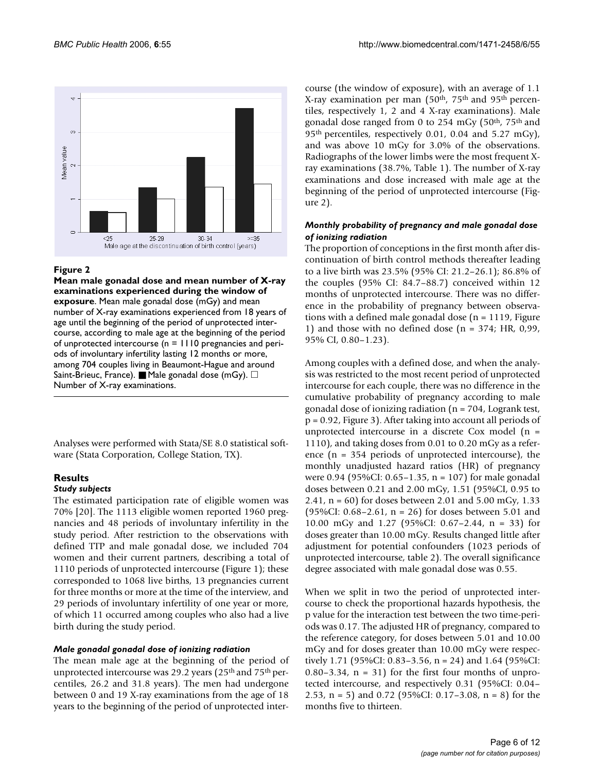

### Figure 2

**Mean male gonadal dose and mean number of X-ray examinations experienced during the window of exposure**. Mean male gonadal dose (mGy) and mean number of X-ray examinations experienced from 18 years of age until the beginning of the period of unprotected intercourse, according to male age at the beginning of the period of unprotected intercourse (n = 1110 pregnancies and periods of involuntary infertility lasting 12 months or more, among 704 couples living in Beaumont-Hague and around Saint-Brieuc, France).  $\blacksquare$  Male gonadal dose (mGy).  $\Box$ Number of X-ray examinations.

Analyses were performed with Stata/SE 8.0 statistical software (Stata Corporation, College Station, TX).

# **Results**

#### *Study subjects*

The estimated participation rate of eligible women was 70% [20]. The 1113 eligible women reported 1960 pregnancies and 48 periods of involuntary infertility in the study period. After restriction to the observations with defined TTP and male gonadal dose, we included 704 women and their current partners, describing a total of 1110 periods of unprotected intercourse (Figure 1); these corresponded to 1068 live births, 13 pregnancies current for three months or more at the time of the interview, and 29 periods of involuntary infertility of one year or more, of which 11 occurred among couples who also had a live birth during the study period.

# *Male gonadal gonadal dose of ionizing radiation*

The mean male age at the beginning of the period of unprotected intercourse was 29.2 years (25<sup>th</sup> and 75<sup>th</sup> percentiles, 26.2 and 31.8 years). The men had undergone between 0 and 19 X-ray examinations from the age of 18 years to the beginning of the period of unprotected intercourse (the window of exposure), with an average of 1.1 X-ray examination per man  $(50<sup>th</sup>, 75<sup>th</sup>$  and  $95<sup>th</sup>$  percentiles, respectively 1, 2 and 4 X-ray examinations). Male gonadal dose ranged from 0 to 254 mGy (50<sup>th</sup>, 75<sup>th</sup> and 95th percentiles, respectively 0.01, 0.04 and 5.27 mGy), and was above 10 mGy for 3.0% of the observations. Radiographs of the lower limbs were the most frequent Xray examinations (38.7%, Table 1). The number of X-ray examinations and dose increased with male age at the beginning of the period of unprotected intercourse (Figure 2).

### *Monthly probability of pregnancy and male gonadal dose of ionizing radiation*

The proportion of conceptions in the first month after discontinuation of birth control methods thereafter leading to a live birth was 23.5% (95% CI: 21.2–26.1); 86.8% of the couples (95% CI: 84.7–88.7) conceived within 12 months of unprotected intercourse. There was no difference in the probability of pregnancy between observations with a defined male gonadal dose ( $n = 1119$ , Figure 1) and those with no defined dose  $(n = 374; HR, 0.99, ...)$ 95% CI, 0.80–1.23).

Among couples with a defined dose, and when the analysis was restricted to the most recent period of unprotected intercourse for each couple, there was no difference in the cumulative probability of pregnancy according to male gonadal dose of ionizing radiation  $(n = 704)$ , Logrank test, p = 0.92, Figure 3). After taking into account all periods of unprotected intercourse in a discrete Cox model (n = 1110), and taking doses from 0.01 to 0.20 mGy as a reference (n = 354 periods of unprotected intercourse), the monthly unadjusted hazard ratios (HR) of pregnancy were 0.94 (95%CI: 0.65–1.35, n = 107) for male gonadal doses between 0.21 and 2.00 mGy, 1.51 (95%CI, 0.95 to 2.41, n = 60) for doses between 2.01 and 5.00 mGy, 1.33 (95%CI: 0.68–2.61,  $n = 26$ ) for doses between 5.01 and 10.00 mGy and 1.27 (95%CI: 0.67–2.44, n = 33) for doses greater than 10.00 mGy. Results changed little after adjustment for potential confounders (1023 periods of unprotected intercourse, table 2). The overall significance degree associated with male gonadal dose was 0.55.

When we split in two the period of unprotected intercourse to check the proportional hazards hypothesis, the p value for the interaction test between the two time-periods was 0.17. The adjusted HR of pregnancy, compared to the reference category, for doses between 5.01 and 10.00 mGy and for doses greater than 10.00 mGy were respectively 1.71 (95%CI: 0.83–3.56, n = 24) and 1.64 (95%CI: 0.80–3.34,  $n = 31$ ) for the first four months of unprotected intercourse, and respectively 0.31 (95%CI: 0.04– 2.53, n = 5) and 0.72 (95%CI: 0.17–3.08, n = 8) for the months five to thirteen.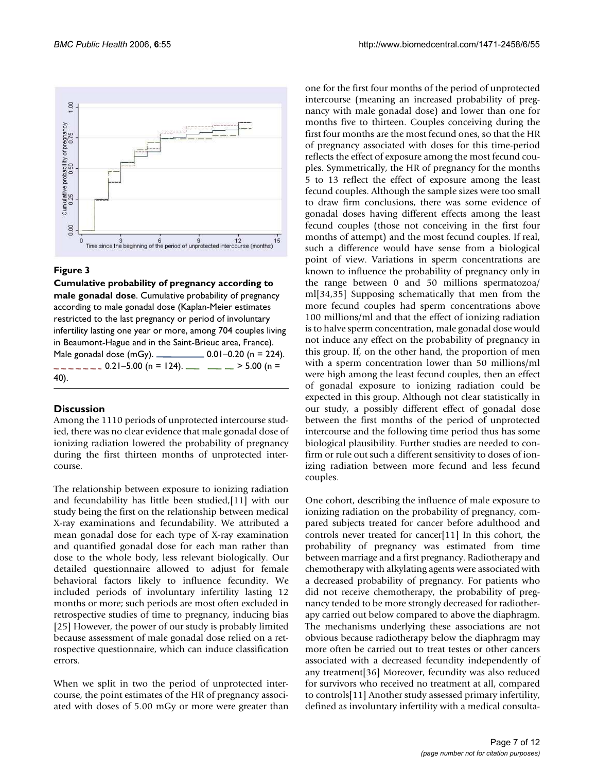

# Figure 3

**Cumulative probability of pregnancy according to male gonadal dose**. Cumulative probability of pregnancy according to male gonadal dose (Kaplan-Meier estimates restricted to the last pregnancy or period of involuntary infertility lasting one year or more, among 704 couples living in Beaumont-Hague and in the Saint-Brieuc area, France). Male gonadal dose  $(mGy)$ .  $\qquad \qquad 0.01-0.20$  (n = 224).  $\frac{1}{2}$  =  $\frac{1}{2}$  = 0.21–5.00 (n = 124).  $\frac{1}{2}$  =  $\frac{1}{2}$  =  $\frac{1}{2}$  > 5.00 (n = 40).

# **Discussion**

Among the 1110 periods of unprotected intercourse studied, there was no clear evidence that male gonadal dose of ionizing radiation lowered the probability of pregnancy during the first thirteen months of unprotected intercourse.

The relationship between exposure to ionizing radiation and fecundability has little been studied,[11] with our study being the first on the relationship between medical X-ray examinations and fecundability. We attributed a mean gonadal dose for each type of X-ray examination and quantified gonadal dose for each man rather than dose to the whole body, less relevant biologically. Our detailed questionnaire allowed to adjust for female behavioral factors likely to influence fecundity. We included periods of involuntary infertility lasting 12 months or more; such periods are most often excluded in retrospective studies of time to pregnancy, inducing bias [25] However, the power of our study is probably limited because assessment of male gonadal dose relied on a retrospective questionnaire, which can induce classification errors.

When we split in two the period of unprotected intercourse, the point estimates of the HR of pregnancy associated with doses of 5.00 mGy or more were greater than

one for the first four months of the period of unprotected intercourse (meaning an increased probability of pregnancy with male gonadal dose) and lower than one for months five to thirteen. Couples conceiving during the first four months are the most fecund ones, so that the HR of pregnancy associated with doses for this time-period reflects the effect of exposure among the most fecund couples. Symmetrically, the HR of pregnancy for the months 5 to 13 reflect the effect of exposure among the least fecund couples. Although the sample sizes were too small to draw firm conclusions, there was some evidence of gonadal doses having different effects among the least fecund couples (those not conceiving in the first four months of attempt) and the most fecund couples. If real, such a difference would have sense from a biological point of view. Variations in sperm concentrations are known to influence the probability of pregnancy only in the range between 0 and 50 millions spermatozoa/ ml[34,35] Supposing schematically that men from the more fecund couples had sperm concentrations above 100 millions/ml and that the effect of ionizing radiation is to halve sperm concentration, male gonadal dose would not induce any effect on the probability of pregnancy in this group. If, on the other hand, the proportion of men with a sperm concentration lower than 50 millions/ml were high among the least fecund couples, then an effect of gonadal exposure to ionizing radiation could be expected in this group. Although not clear statistically in our study, a possibly different effect of gonadal dose between the first months of the period of unprotected intercourse and the following time period thus has some biological plausibility. Further studies are needed to confirm or rule out such a different sensitivity to doses of ionizing radiation between more fecund and less fecund couples.

One cohort, describing the influence of male exposure to ionizing radiation on the probability of pregnancy, compared subjects treated for cancer before adulthood and controls never treated for cancer[11] In this cohort, the probability of pregnancy was estimated from time between marriage and a first pregnancy. Radiotherapy and chemotherapy with alkylating agents were associated with a decreased probability of pregnancy. For patients who did not receive chemotherapy, the probability of pregnancy tended to be more strongly decreased for radiotherapy carried out below compared to above the diaphragm. The mechanisms underlying these associations are not obvious because radiotherapy below the diaphragm may more often be carried out to treat testes or other cancers associated with a decreased fecundity independently of any treatment[36] Moreover, fecundity was also reduced for survivors who received no treatment at all, compared to controls[11] Another study assessed primary infertility, defined as involuntary infertility with a medical consulta-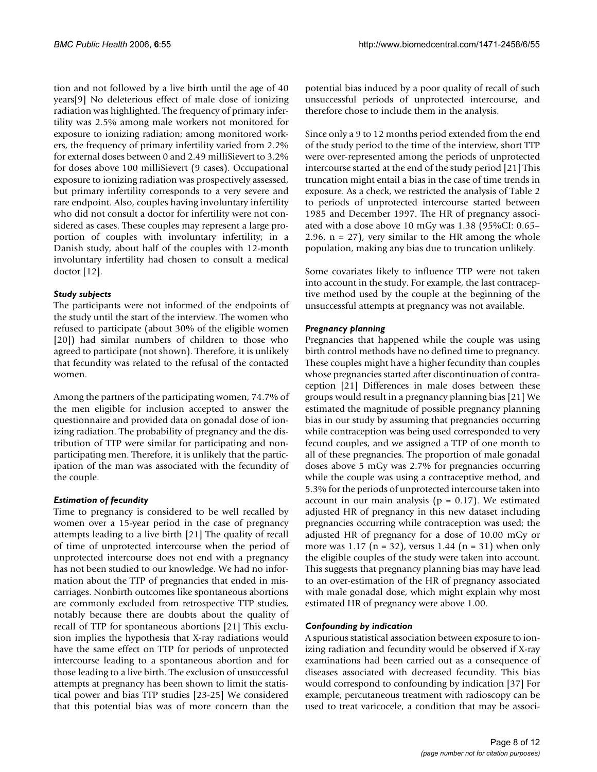tion and not followed by a live birth until the age of 40 years[9] No deleterious effect of male dose of ionizing radiation was highlighted. The frequency of primary infertility was 2.5% among male workers not monitored for exposure to ionizing radiation; among monitored workers, the frequency of primary infertility varied from 2.2% for external doses between 0 and 2.49 milliSievert to 3.2% for doses above 100 milliSievert (9 cases). Occupational exposure to ionizing radiation was prospectively assessed, but primary infertility corresponds to a very severe and rare endpoint. Also, couples having involuntary infertility who did not consult a doctor for infertility were not considered as cases. These couples may represent a large proportion of couples with involuntary infertility; in a Danish study, about half of the couples with 12-month involuntary infertility had chosen to consult a medical doctor [12].

#### *Study subjects*

The participants were not informed of the endpoints of the study until the start of the interview. The women who refused to participate (about 30% of the eligible women [20]) had similar numbers of children to those who agreed to participate (not shown). Therefore, it is unlikely that fecundity was related to the refusal of the contacted women.

Among the partners of the participating women, 74.7% of the men eligible for inclusion accepted to answer the questionnaire and provided data on gonadal dose of ionizing radiation. The probability of pregnancy and the distribution of TTP were similar for participating and nonparticipating men. Therefore, it is unlikely that the participation of the man was associated with the fecundity of the couple.

# *Estimation of fecundity*

Time to pregnancy is considered to be well recalled by women over a 15-year period in the case of pregnancy attempts leading to a live birth [21] The quality of recall of time of unprotected intercourse when the period of unprotected intercourse does not end with a pregnancy has not been studied to our knowledge. We had no information about the TTP of pregnancies that ended in miscarriages. Nonbirth outcomes like spontaneous abortions are commonly excluded from retrospective TTP studies, notably because there are doubts about the quality of recall of TTP for spontaneous abortions [21] This exclusion implies the hypothesis that X-ray radiations would have the same effect on TTP for periods of unprotected intercourse leading to a spontaneous abortion and for those leading to a live birth. The exclusion of unsuccessful attempts at pregnancy has been shown to limit the statistical power and bias TTP studies [23-25] We considered that this potential bias was of more concern than the potential bias induced by a poor quality of recall of such unsuccessful periods of unprotected intercourse, and therefore chose to include them in the analysis.

Since only a 9 to 12 months period extended from the end of the study period to the time of the interview, short TTP were over-represented among the periods of unprotected intercourse started at the end of the study period [21] This truncation might entail a bias in the case of time trends in exposure. As a check, we restricted the analysis of Table 2 to periods of unprotected intercourse started between 1985 and December 1997. The HR of pregnancy associated with a dose above 10 mGy was 1.38 (95%CI: 0.65– 2.96,  $n = 27$ , very similar to the HR among the whole population, making any bias due to truncation unlikely.

Some covariates likely to influence TTP were not taken into account in the study. For example, the last contraceptive method used by the couple at the beginning of the unsuccessful attempts at pregnancy was not available.

### *Pregnancy planning*

Pregnancies that happened while the couple was using birth control methods have no defined time to pregnancy. These couples might have a higher fecundity than couples whose pregnancies started after discontinuation of contraception [21] Differences in male doses between these groups would result in a pregnancy planning bias [21] We estimated the magnitude of possible pregnancy planning bias in our study by assuming that pregnancies occurring while contraception was being used corresponded to very fecund couples, and we assigned a TTP of one month to all of these pregnancies. The proportion of male gonadal doses above 5 mGy was 2.7% for pregnancies occurring while the couple was using a contraceptive method, and 5.3% for the periods of unprotected intercourse taken into account in our main analysis ( $p = 0.17$ ). We estimated adjusted HR of pregnancy in this new dataset including pregnancies occurring while contraception was used; the adjusted HR of pregnancy for a dose of 10.00 mGy or more was 1.17 ( $n = 32$ ), versus 1.44 ( $n = 31$ ) when only the eligible couples of the study were taken into account. This suggests that pregnancy planning bias may have lead to an over-estimation of the HR of pregnancy associated with male gonadal dose, which might explain why most estimated HR of pregnancy were above 1.00.

# *Confounding by indication*

A spurious statistical association between exposure to ionizing radiation and fecundity would be observed if X-ray examinations had been carried out as a consequence of diseases associated with decreased fecundity. This bias would correspond to confounding by indication [37] For example, percutaneous treatment with radioscopy can be used to treat varicocele, a condition that may be associ-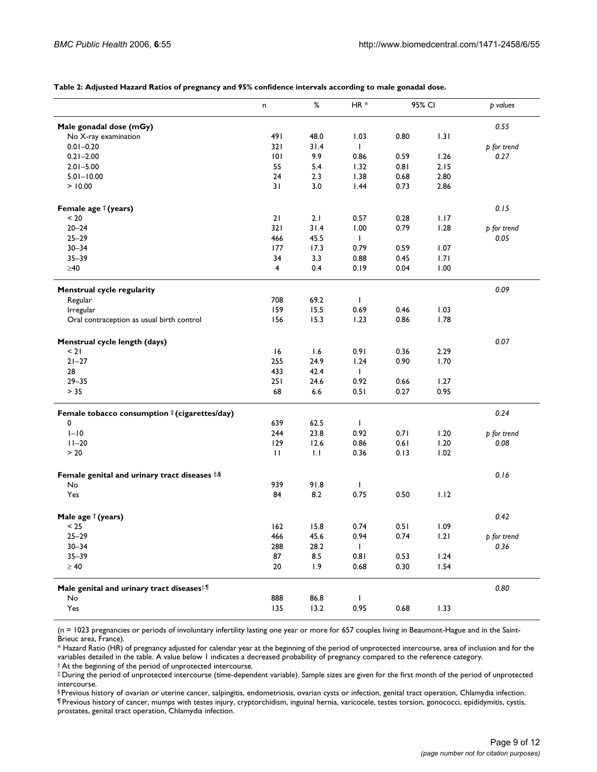|                                                         | n              | $\%$  | $HR *$       |      | 95% CI | p values    |
|---------------------------------------------------------|----------------|-------|--------------|------|--------|-------------|
| Male gonadal dose (mGy)                                 |                |       |              |      |        | 0.55        |
| No X-ray examination                                    | 49 I           | 48.0  | 1.03         | 0.80 | 1.31   |             |
| $0.01 - 0.20$                                           | 321            | 31.4  | $\mathbf{I}$ |      |        | p for trend |
| $0.21 - 2.00$                                           | 101            | 9.9   | 0.86         | 0.59 | 1.26   | 0.27        |
| $2.01 - 5.00$                                           | 55             | 5.4   | 1.32         | 0.81 | 2.15   |             |
| $5.01 - 10.00$                                          | 24             | 2.3   | 1.38         | 0.68 | 2.80   |             |
| > 10.00                                                 | 31             | 3.0   | 1.44         | 0.73 | 2.86   |             |
| Female age <sup>†</sup> (years)                         |                |       |              |      |        | 0.15        |
| < 20                                                    | 21             | 2.1   | 0.57         | 0.28 | 1.17   |             |
| $20 - 24$                                               | 321            | 31.4  | 1.00         | 0.79 | 1.28   | p for trend |
| $25 - 29$                                               | 466            | 45.5  | $\mathsf{I}$ |      |        | 0.05        |
| $30 - 34$                                               | 177            | 17.3  | 0.79         | 0.59 | 1.07   |             |
| $35 - 39$                                               | 34             | 3.3   | 0.88         | 0.45 | 1.71   |             |
| $\geq 40$                                               | $\overline{4}$ | 0.4   | 0.19         | 0.04 | 1.00   |             |
| Menstrual cycle regularity                              |                |       |              |      |        | 0.09        |
| Regular                                                 | 708            | 69.2  | $\mathbf{I}$ |      |        |             |
| Irregular                                               | 159            | 15.5  | 0.69         | 0.46 | 1.03   |             |
| Oral contraception as usual birth control               | 156            | 15.3  | 1.23         | 0.86 | 1.78   |             |
| Menstrual cycle length (days)                           |                |       |              |      |        | 0.07        |
| < 21                                                    | 16             | 1.6   | 0.91         | 0.36 | 2.29   |             |
| $21 - 27$                                               | 255            | 24.9  | 1.24         | 0.90 | 1.70   |             |
| 28                                                      | 433            | 42.4  | $\mathbf{I}$ |      |        |             |
| $29 - 35$                                               | 251            | 24.6  | 0.92         | 0.66 | 1.27   |             |
| > 35                                                    | 68             | $6.6$ | 0.51         | 0.27 | 0.95   |             |
| Female tobacco consumption # (cigarettes/day)           |                |       |              |      |        | 0.24        |
| 0                                                       | 639            | 62.5  | $\mathbf{I}$ |      |        |             |
| $I-I0$                                                  | 244            | 23.8  | 0.92         | 0.71 | 1.20   | p for trend |
| $11 - 20$                                               | 129            | 12.6  | 0.86         | 0.61 | 1.20   | $0.08\,$    |
| $>20$                                                   | $\mathbf{H}$   | 1.1   | 0.36         | 0.13 | 1.02   |             |
| Female genital and urinary tract diseases $\frac{1}{9}$ |                |       |              |      |        | 0.16        |
| No                                                      | 939            | 91.8  | $\mathbf{I}$ |      |        |             |
| Yes                                                     | 84             | 8.2   | 0.75         | 0.50 | 1.12   |             |
| Male age $\dagger$ (years)                              |                |       |              |      |        | 0.42        |
| < 25                                                    | 162            | 15.8  | 0.74         | 0.51 | 1.09   |             |
| $25 - 29$                                               | 466            | 45.6  | 0.94         | 0.74 | 1.21   | p for trend |
| $30 - 34$                                               | 288            | 28.2  | $\mathbf{I}$ |      |        | 0.36        |
| $35 - 39$                                               | 87             | 8.5   | 0.81         | 0.53 | 1.24   |             |
| $\geq 40$                                               | 20             | 1.9   | 0.68         | 0.30 | 1.54   |             |
| Male genital and urinary tract diseases <sup>†,¶</sup>  |                |       |              |      |        | 0.80        |
| No                                                      | 888            | 86.8  | Τ.           |      |        |             |
| $\mathsf{Yes}$                                          | 135            | 13.2  | 0.95         | 0.68 | 1.33   |             |

#### **Table 2: Adjusted Hazard Ratios of pregnancy and 95% confidence intervals according to male gonadal dose.**

(n = 1023 pregnancies or periods of involuntary infertility lasting one year or more for 657 couples living in Beaumont-Hague and in the Saint-Brieuc area, France).

\* Hazard Ratio (HR) of pregnancy adjusted for calendar year at the beginning of the period of unprotected intercourse, area of inclusion and for the variables detailed in the table. A value below 1 indicates a decreased probability of pregnancy compared to the reference category.

† At the beginning of the period of unprotected intercourse.

‡ During the period of unprotected intercourse (time-dependent variable). Sample sizes are given for the first month of the period of unprotected intercourse.

§ Previous history of ovarian or uterine cancer, salpingitis, endometriosis, ovarian cysts or infection, genital tract operation, Chlamydia infection.

¶ Previous history of cancer, mumps with testes injury, cryptorchidism, inguinal hernia, varicocele, testes torsion, gonococci, epididymitis, cystis, prostates, genital tract operation, Chlamydia infection.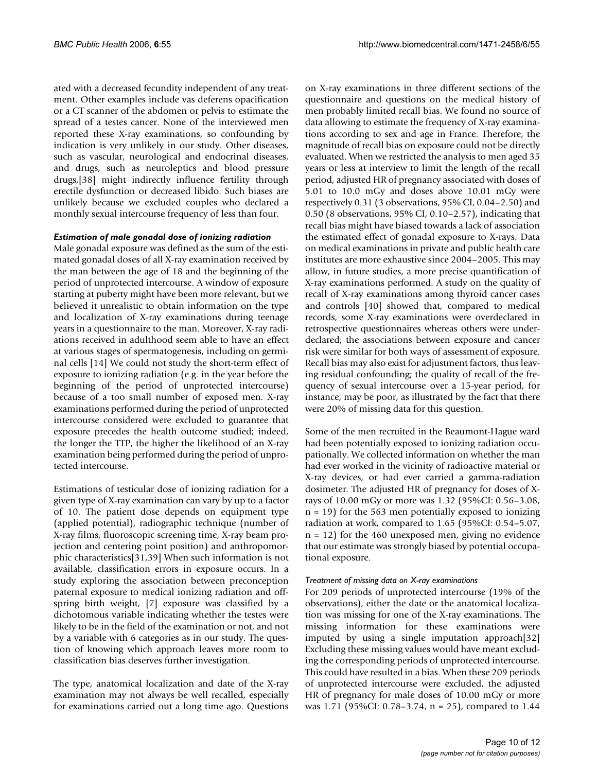ated with a decreased fecundity independent of any treatment. Other examples include vas deferens opacification or a CT scanner of the abdomen or pelvis to estimate the spread of a testes cancer. None of the interviewed men reported these X-ray examinations, so confounding by indication is very unlikely in our study. Other diseases, such as vascular, neurological and endocrinal diseases, and drugs, such as neuroleptics and blood pressure drugs,[38] might indirectly influence fertility through erectile dysfunction or decreased libido. Such biases are unlikely because we excluded couples who declared a monthly sexual intercourse frequency of less than four.

#### *Estimation of male gonadal dose of ionizing radiation*

Male gonadal exposure was defined as the sum of the estimated gonadal doses of all X-ray examination received by the man between the age of 18 and the beginning of the period of unprotected intercourse. A window of exposure starting at puberty might have been more relevant, but we believed it unrealistic to obtain information on the type and localization of X-ray examinations during teenage years in a questionnaire to the man. Moreover, X-ray radiations received in adulthood seem able to have an effect at various stages of spermatogenesis, including on germinal cells [14] We could not study the short-term effect of exposure to ionizing radiation (e.g. in the year before the beginning of the period of unprotected intercourse) because of a too small number of exposed men. X-ray examinations performed during the period of unprotected intercourse considered were excluded to guarantee that exposure precedes the health outcome studied; indeed, the longer the TTP, the higher the likelihood of an X-ray examination being performed during the period of unprotected intercourse.

Estimations of testicular dose of ionizing radiation for a given type of X-ray examination can vary by up to a factor of 10. The patient dose depends on equipment type (applied potential), radiographic technique (number of X-ray films, fluoroscopic screening time, X-ray beam projection and centering point position) and anthropomorphic characteristics[31,39] When such information is not available, classification errors in exposure occurs. In a study exploring the association between preconception paternal exposure to medical ionizing radiation and offspring birth weight, [7] exposure was classified by a dichotomous variable indicating whether the testes were likely to be in the field of the examination or not, and not by a variable with 6 categories as in our study. The question of knowing which approach leaves more room to classification bias deserves further investigation.

The type, anatomical localization and date of the X-ray examination may not always be well recalled, especially for examinations carried out a long time ago. Questions

on X-ray examinations in three different sections of the questionnaire and questions on the medical history of men probably limited recall bias. We found no source of data allowing to estimate the frequency of X-ray examinations according to sex and age in France. Therefore, the magnitude of recall bias on exposure could not be directly evaluated. When we restricted the analysis to men aged 35 years or less at interview to limit the length of the recall period, adjusted HR of pregnancy associated with doses of 5.01 to 10.0 mGy and doses above 10.01 mGy were respectively 0.31 (3 observations, 95% CI, 0.04–2.50) and 0.50 (8 observations, 95% CI, 0.10–2.57), indicating that recall bias might have biased towards a lack of association the estimated effect of gonadal exposure to X-rays. Data on medical examinations in private and public health care institutes are more exhaustive since 2004–2005. This may allow, in future studies, a more precise quantification of X-ray examinations performed. A study on the quality of recall of X-ray examinations among thyroid cancer cases and controls [40] showed that, compared to medical records, some X-ray examinations were overdeclared in retrospective questionnaires whereas others were underdeclared; the associations between exposure and cancer risk were similar for both ways of assessment of exposure. Recall bias may also exist for adjustment factors, thus leaving residual confounding; the quality of recall of the frequency of sexual intercourse over a 15-year period, for instance, may be poor, as illustrated by the fact that there were 20% of missing data for this question.

Some of the men recruited in the Beaumont-Hague ward had been potentially exposed to ionizing radiation occupationally. We collected information on whether the man had ever worked in the vicinity of radioactive material or X-ray devices, or had ever carried a gamma-radiation dosimeter. The adjusted HR of pregnancy for doses of Xrays of 10.00 mGy or more was 1.32 (95%CI: 0.56–3.08,  $n = 19$ ) for the 563 men potentially exposed to ionizing radiation at work, compared to 1.65 (95%CI: 0.54–5.07,  $n = 12$ ) for the 460 unexposed men, giving no evidence that our estimate was strongly biased by potential occupational exposure.

#### *Treatment of missing data on X-ray examinations*

For 209 periods of unprotected intercourse (19% of the observations), either the date or the anatomical localization was missing for one of the X-ray examinations. The missing information for these examinations were imputed by using a single imputation approach[32] Excluding these missing values would have meant excluding the corresponding periods of unprotected intercourse. This could have resulted in a bias. When these 209 periods of unprotected intercourse were excluded, the adjusted HR of pregnancy for male doses of 10.00 mGy or more was 1.71 (95%CI: 0.78–3.74, n = 25), compared to 1.44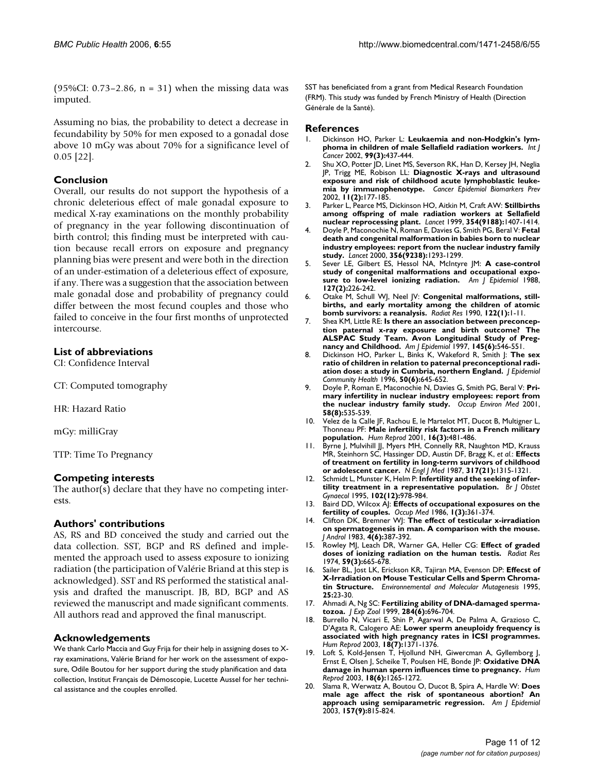(95%CI: 0.73–2.86,  $n = 31$ ) when the missing data was imputed.

Assuming no bias, the probability to detect a decrease in fecundability by 50% for men exposed to a gonadal dose above 10 mGy was about 70% for a significance level of  $0.05$  [22].

#### **Conclusion**

Overall, our results do not support the hypothesis of a chronic deleterious effect of male gonadal exposure to medical X-ray examinations on the monthly probability of pregnancy in the year following discontinuation of birth control; this finding must be interpreted with caution because recall errors on exposure and pregnancy planning bias were present and were both in the direction of an under-estimation of a deleterious effect of exposure, if any. There was a suggestion that the association between male gonadal dose and probability of pregnancy could differ between the most fecund couples and those who failed to conceive in the four first months of unprotected intercourse.

#### **List of abbreviations**

CI: Confidence Interval

CT: Computed tomography

HR: Hazard Ratio

mGy: milliGray

TTP: Time To Pregnancy

#### **Competing interests**

The author(s) declare that they have no competing interests.

#### **Authors' contributions**

AS, RS and BD conceived the study and carried out the data collection. SST, BGP and RS defined and implemented the approach used to assess exposure to ionizing radiation (the participation of Valérie Briand at this step is acknowledged). SST and RS performed the statistical analysis and drafted the manuscript. JB, BD, BGP and AS reviewed the manuscript and made significant comments. All authors read and approved the final manuscript.

#### **Acknowledgements**

We thank Carlo Maccia and Guy Frija for their help in assigning doses to Xray examinations, Valérie Briand for her work on the assessment of exposure, Odile Boutou for her support during the study planification and data collection, Institut Français de Démoscopie, Lucette Aussel for her technical assistance and the couples enrolled.

SST has beneficiated from a grant from Medical Research Foundation (FRM). This study was funded by French Ministry of Health (Direction Générale de la Santé).

#### **References**

- 1. Dickinson HO, Parker L: **[Leukaemia and non-Hodgkin's lym](http://www.ncbi.nlm.nih.gov/entrez/query.fcgi?cmd=Retrieve&db=PubMed&dopt=Abstract&list_uids=11992415)[phoma in children of male Sellafield radiation workers.](http://www.ncbi.nlm.nih.gov/entrez/query.fcgi?cmd=Retrieve&db=PubMed&dopt=Abstract&list_uids=11992415)** *Int J Cancer* 2002, **99(3):**437-444.
- 2. Shu XO, Potter JD, Linet MS, Severson RK, Han D, Kersey JH, Neglia JP, Trigg ME, Robison LL: **[Diagnostic X-rays and ultrasound](http://www.ncbi.nlm.nih.gov/entrez/query.fcgi?cmd=Retrieve&db=PubMed&dopt=Abstract&list_uids=11867505) [exposure and risk of childhood acute lymphoblastic leuke](http://www.ncbi.nlm.nih.gov/entrez/query.fcgi?cmd=Retrieve&db=PubMed&dopt=Abstract&list_uids=11867505)[mia by immunophenotype.](http://www.ncbi.nlm.nih.gov/entrez/query.fcgi?cmd=Retrieve&db=PubMed&dopt=Abstract&list_uids=11867505)** *Cancer Epidemiol Biomarkers Prev* 2002, **11(2):**177-185.
- 3. Parker L, Pearce MS, Dickinson HO, Aitkin M, Craft AW: **[Stillbirths](http://www.ncbi.nlm.nih.gov/entrez/query.fcgi?cmd=Retrieve&db=PubMed&dopt=Abstract&list_uids=10543666) [among offspring of male radiation workers at Sellafield](http://www.ncbi.nlm.nih.gov/entrez/query.fcgi?cmd=Retrieve&db=PubMed&dopt=Abstract&list_uids=10543666) [nuclear reprocessing plant.](http://www.ncbi.nlm.nih.gov/entrez/query.fcgi?cmd=Retrieve&db=PubMed&dopt=Abstract&list_uids=10543666)** *Lancet* 1999, **354(9188):**1407-1414.
- 4. Doyle P, Maconochie N, Roman E, Davies G, Smith PG, Beral V: **[Fetal](http://www.ncbi.nlm.nih.gov/entrez/query.fcgi?cmd=Retrieve&db=PubMed&dopt=Abstract&list_uids=11073016) death and congenital malformation in babies born to nuclear [industry employees: report from the nuclear industry family](http://www.ncbi.nlm.nih.gov/entrez/query.fcgi?cmd=Retrieve&db=PubMed&dopt=Abstract&list_uids=11073016) [study.](http://www.ncbi.nlm.nih.gov/entrez/query.fcgi?cmd=Retrieve&db=PubMed&dopt=Abstract&list_uids=11073016)** *Lancet* 2000, **356(9238):**1293-1299.
- 5. Sever LE, Gilbert ES, Hessol NA, McIntyre JM: **[A case-control](http://www.ncbi.nlm.nih.gov/entrez/query.fcgi?cmd=Retrieve&db=PubMed&dopt=Abstract&list_uids=3276166) [study of congenital malformations and occupational expo](http://www.ncbi.nlm.nih.gov/entrez/query.fcgi?cmd=Retrieve&db=PubMed&dopt=Abstract&list_uids=3276166)[sure to low-level ionizing radiation.](http://www.ncbi.nlm.nih.gov/entrez/query.fcgi?cmd=Retrieve&db=PubMed&dopt=Abstract&list_uids=3276166)** *Am J Epidemiol* 1988, **127(2):**226-242.
- 6. Otake M, Schull WJ, Neel JV: **[Congenital malformations, still](http://www.ncbi.nlm.nih.gov/entrez/query.fcgi?cmd=Retrieve&db=PubMed&dopt=Abstract&list_uids=2320718)[births, and early mortality among the children of atomic](http://www.ncbi.nlm.nih.gov/entrez/query.fcgi?cmd=Retrieve&db=PubMed&dopt=Abstract&list_uids=2320718) [bomb survivors: a reanalysis.](http://www.ncbi.nlm.nih.gov/entrez/query.fcgi?cmd=Retrieve&db=PubMed&dopt=Abstract&list_uids=2320718)** *Radiat Res* 1990, **122(1):**1-11.
- 7. Shea KM, Little RE: **[Is there an association between preconcep](http://www.ncbi.nlm.nih.gov/entrez/query.fcgi?cmd=Retrieve&db=PubMed&dopt=Abstract&list_uids=9063345)tion paternal x-ray exposure and birth outcome? The [ALSPAC Study Team. Avon Longitudinal Study of Preg](http://www.ncbi.nlm.nih.gov/entrez/query.fcgi?cmd=Retrieve&db=PubMed&dopt=Abstract&list_uids=9063345)[nancy and Childhood.](http://www.ncbi.nlm.nih.gov/entrez/query.fcgi?cmd=Retrieve&db=PubMed&dopt=Abstract&list_uids=9063345)** *Am J Epidemiol* 1997, **145(6):**546-551.
- 8. Dickinson HO, Parker L, Binks K, Wakeford R, Smith J: **[The sex](http://www.ncbi.nlm.nih.gov/entrez/query.fcgi?cmd=Retrieve&db=PubMed&dopt=Abstract&list_uids=9039384) [ratio of children in relation to paternal preconceptional radi](http://www.ncbi.nlm.nih.gov/entrez/query.fcgi?cmd=Retrieve&db=PubMed&dopt=Abstract&list_uids=9039384)[ation dose: a study in Cumbria, northern England.](http://www.ncbi.nlm.nih.gov/entrez/query.fcgi?cmd=Retrieve&db=PubMed&dopt=Abstract&list_uids=9039384)** *J Epidemiol Community Health* 1996, **50(6):**645-652.
- 9. Doyle P, Roman E, Maconochie N, Davies G, Smith PG, Beral V: **[Pri](http://www.ncbi.nlm.nih.gov/entrez/query.fcgi?cmd=Retrieve&db=PubMed&dopt=Abstract&list_uids=11452049)[mary infertility in nuclear industry employees: report from](http://www.ncbi.nlm.nih.gov/entrez/query.fcgi?cmd=Retrieve&db=PubMed&dopt=Abstract&list_uids=11452049) [the nuclear industry family study.](http://www.ncbi.nlm.nih.gov/entrez/query.fcgi?cmd=Retrieve&db=PubMed&dopt=Abstract&list_uids=11452049)** *Occup Environ Med* 2001, **58(8):**535-539.
- 10. Velez de la Calle JF, Rachou E, le Martelot MT, Ducot B, Multigner L, Thonneau PF: **[Male infertility risk factors in a French military](http://www.ncbi.nlm.nih.gov/entrez/query.fcgi?cmd=Retrieve&db=PubMed&dopt=Abstract&list_uids=11228215) [population.](http://www.ncbi.nlm.nih.gov/entrez/query.fcgi?cmd=Retrieve&db=PubMed&dopt=Abstract&list_uids=11228215)** *Hum Reprod* 2001, **16(3):**481-486.
- 11. Byrne J, Mulvihill JJ, Myers MH, Connelly RR, Naughton MD, Krauss MR, Steinhorn SC, Hassinger DD, Austin DF, Bragg K, *et al.*: **[Effects](http://www.ncbi.nlm.nih.gov/entrez/query.fcgi?cmd=Retrieve&db=PubMed&dopt=Abstract&list_uids=3683460) [of treatment on fertility in long-term survivors of childhood](http://www.ncbi.nlm.nih.gov/entrez/query.fcgi?cmd=Retrieve&db=PubMed&dopt=Abstract&list_uids=3683460) [or adolescent cancer.](http://www.ncbi.nlm.nih.gov/entrez/query.fcgi?cmd=Retrieve&db=PubMed&dopt=Abstract&list_uids=3683460)** *N Engl J Med* 1987, **317(21):**1315-1321.
- 12. Schmidt L, Munster K, Helm P: **[Infertility and the seeking of infer](http://www.ncbi.nlm.nih.gov/entrez/query.fcgi?cmd=Retrieve&db=PubMed&dopt=Abstract&list_uids=8652489)[tility treatment in a representative population.](http://www.ncbi.nlm.nih.gov/entrez/query.fcgi?cmd=Retrieve&db=PubMed&dopt=Abstract&list_uids=8652489)** *Br J Obstet Gynaecol* 1995, **102(12):**978-984.
- 13. Baird DD, Wilcox AJ: **[Effects of occupational exposures on the](http://www.ncbi.nlm.nih.gov/entrez/query.fcgi?cmd=Retrieve&db=PubMed&dopt=Abstract&list_uids=3299781) [fertility of couples.](http://www.ncbi.nlm.nih.gov/entrez/query.fcgi?cmd=Retrieve&db=PubMed&dopt=Abstract&list_uids=3299781)** *Occup Med* 1986, **1(3):**361-374.
- 14. Clifton DK, Bremner WJ: **[The effect of testicular x-irradiation](http://www.ncbi.nlm.nih.gov/entrez/query.fcgi?cmd=Retrieve&db=PubMed&dopt=Abstract&list_uids=6654753) [on spermatogenesis in man. A comparison with the mouse.](http://www.ncbi.nlm.nih.gov/entrez/query.fcgi?cmd=Retrieve&db=PubMed&dopt=Abstract&list_uids=6654753)** *J Androl* 1983, **4(6):**387-392.
- 15. Rowley MJ, Leach DR, Warner GA, Heller CG: **[Effect of graded](http://www.ncbi.nlm.nih.gov/entrez/query.fcgi?cmd=Retrieve&db=PubMed&dopt=Abstract&list_uids=4428015) [doses of ionizing radiation on the human testis.](http://www.ncbi.nlm.nih.gov/entrez/query.fcgi?cmd=Retrieve&db=PubMed&dopt=Abstract&list_uids=4428015)** *Radiat Res* 1974, **59(3):**665-678.
- 16. Sailer BL, Jost LK, Erickson KR, Tajiran MA, Evenson DP: **Effecst of X-Irradiation on Mouse Testicular Cells and Sperm Chromatin Structure.** *Environnemental and Molecular Mutagenesis* 1995, **25:**23-30.
- 17. Ahmadi A, Ng SC: **[Fertilizing ability of DNA-damaged sperma](http://www.ncbi.nlm.nih.gov/entrez/query.fcgi?cmd=Retrieve&db=PubMed&dopt=Abstract&list_uids=10531556)[tozoa.](http://www.ncbi.nlm.nih.gov/entrez/query.fcgi?cmd=Retrieve&db=PubMed&dopt=Abstract&list_uids=10531556)** *J Exp Zool* 1999, **284(6):**696-704.
- 18. Burrello N, Vicari E, Shin P, Agarwal A, De Palma A, Grazioso C, D'Agata R, Calogero AE: **[Lower sperm aneuploidy frequency is](http://www.ncbi.nlm.nih.gov/entrez/query.fcgi?cmd=Retrieve&db=PubMed&dopt=Abstract&list_uids=12832359) [associated with high pregnancy rates in ICSI programmes.](http://www.ncbi.nlm.nih.gov/entrez/query.fcgi?cmd=Retrieve&db=PubMed&dopt=Abstract&list_uids=12832359)** *Hum Reprod* 2003, **18(7):**1371-1376.
- 19. Loft S, Kold-Jensen T, Hjollund NH, Giwercman A, Gyllemborg J, Ernst E, Olsen J, Scheike T, Poulsen HE, Bonde JP: **[Oxidative DNA](http://www.ncbi.nlm.nih.gov/entrez/query.fcgi?cmd=Retrieve&db=PubMed&dopt=Abstract&list_uids=12773457) [damage in human sperm influences time to pregnancy.](http://www.ncbi.nlm.nih.gov/entrez/query.fcgi?cmd=Retrieve&db=PubMed&dopt=Abstract&list_uids=12773457)** *Hum Reprod* 2003, **18(6):**1265-1272.
- 20. Slama R, Werwatz A, Boutou O, Ducot B, Spira A, Hardle W: **[Does](http://www.ncbi.nlm.nih.gov/entrez/query.fcgi?cmd=Retrieve&db=PubMed&dopt=Abstract&list_uids=12727675) [male age affect the risk of spontaneous abortion? An](http://www.ncbi.nlm.nih.gov/entrez/query.fcgi?cmd=Retrieve&db=PubMed&dopt=Abstract&list_uids=12727675) [approach using semiparametric regression.](http://www.ncbi.nlm.nih.gov/entrez/query.fcgi?cmd=Retrieve&db=PubMed&dopt=Abstract&list_uids=12727675)** *Am J Epidemiol* 2003, **157(9):**815-824.